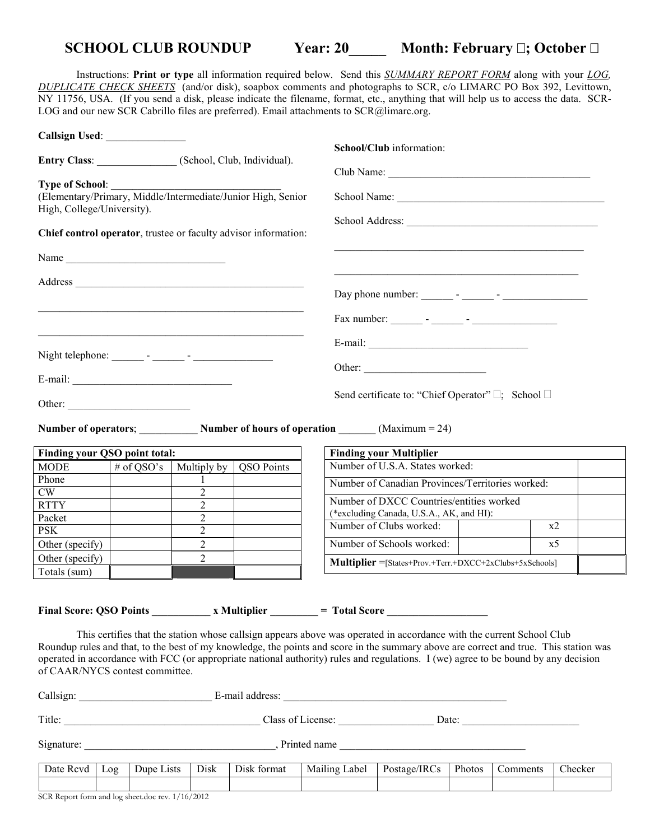## **SCHOOL CLUB ROUNDUP Year: 20\_\_\_\_\_ Month: February ; October**

Instructions: **Print or type** all information required below. Send this *SUMMARY REPORT FORM* along with your *LOG, DUPLICATE CHECK SHEETS* (and/or disk), soapbox comments and photographs to SCR, c/o LIMARC PO Box 392, Levittown, NY 11756, USA. (If you send a disk, please indicate the filename, format, etc., anything that will help us to access the data. SCR-LOG and our new SCR Cabrillo files are preferred). Email attachments to SCR@limarc.org.

| Entry Class: (School, Club, Individual). |            |                                                                 |                   | School/Club information:                                                                                                                                                                                                                                                                                                                                                                             |                |  |
|------------------------------------------|------------|-----------------------------------------------------------------|-------------------|------------------------------------------------------------------------------------------------------------------------------------------------------------------------------------------------------------------------------------------------------------------------------------------------------------------------------------------------------------------------------------------------------|----------------|--|
| <b>Type of School:</b>                   |            |                                                                 |                   |                                                                                                                                                                                                                                                                                                                                                                                                      |                |  |
| High, College/University).               |            | (Elementary/Primary, Middle/Intermediate/Junior High, Senior    |                   |                                                                                                                                                                                                                                                                                                                                                                                                      |                |  |
|                                          |            | Chief control operator, trustee or faculty advisor information: |                   |                                                                                                                                                                                                                                                                                                                                                                                                      |                |  |
|                                          |            |                                                                 |                   |                                                                                                                                                                                                                                                                                                                                                                                                      |                |  |
|                                          |            |                                                                 |                   |                                                                                                                                                                                                                                                                                                                                                                                                      |                |  |
|                                          |            | <u> 1989 - Johann John Stone, mensk politik (* 1958)</u>        |                   |                                                                                                                                                                                                                                                                                                                                                                                                      |                |  |
|                                          |            |                                                                 |                   |                                                                                                                                                                                                                                                                                                                                                                                                      |                |  |
|                                          |            |                                                                 |                   |                                                                                                                                                                                                                                                                                                                                                                                                      |                |  |
|                                          |            |                                                                 |                   | Other:                                                                                                                                                                                                                                                                                                                                                                                               |                |  |
| Other:                                   |            |                                                                 |                   | Send certificate to: "Chief Operator" ; School                                                                                                                                                                                                                                                                                                                                                       |                |  |
|                                          |            |                                                                 |                   | Number of operators; Number of hours of operation _______ (Maximum = 24)                                                                                                                                                                                                                                                                                                                             |                |  |
| Finding your QSO point total:            |            |                                                                 |                   | <b>Finding your Multiplier</b>                                                                                                                                                                                                                                                                                                                                                                       |                |  |
| <b>MODE</b>                              | # of QSO's | Multiply by                                                     | <b>QSO</b> Points | Number of U.S.A. States worked:                                                                                                                                                                                                                                                                                                                                                                      |                |  |
| Phone                                    |            | 1                                                               |                   | Number of Canadian Provinces/Territories worked:                                                                                                                                                                                                                                                                                                                                                     |                |  |
| CW                                       |            | $\overline{2}$                                                  |                   |                                                                                                                                                                                                                                                                                                                                                                                                      |                |  |
| <b>RTTY</b>                              |            | $\overline{2}$                                                  |                   | Number of DXCC Countries/entities worked                                                                                                                                                                                                                                                                                                                                                             |                |  |
| Packet                                   |            | $\overline{2}$                                                  |                   | (*excluding Canada, U.S.A., AK, and HI):<br>Number of Clubs worked:                                                                                                                                                                                                                                                                                                                                  | x2             |  |
| <b>PSK</b>                               |            | $\overline{2}$                                                  |                   |                                                                                                                                                                                                                                                                                                                                                                                                      |                |  |
| Other (specify)                          |            | $\overline{2}$                                                  |                   | Number of Schools worked:                                                                                                                                                                                                                                                                                                                                                                            | x <sub>5</sub> |  |
| Other (specify)<br>Totals (sum)          |            | $\overline{2}$                                                  |                   | <b>Multiplier</b> = [States+Prov.+Terr.+DXCC+2xClubs+5xSchools]                                                                                                                                                                                                                                                                                                                                      |                |  |
|                                          |            |                                                                 |                   | Final Score: QSO Points x Multiplier = Total Score                                                                                                                                                                                                                                                                                                                                                   |                |  |
| of CAAR/NYCS contest committee.          |            |                                                                 |                   | This certifies that the station whose callsign appears above was operated in accordance with the current School Club<br>Roundup rules and that, to the best of my knowledge, the points and score in the summary above are correct and true. This station was<br>operated in accordance with FCC (or appropriate national authority) rules and regulations. I (we) agree to be bound by any decision |                |  |
|                                          |            |                                                                 |                   |                                                                                                                                                                                                                                                                                                                                                                                                      |                |  |
|                                          |            |                                                                 |                   |                                                                                                                                                                                                                                                                                                                                                                                                      |                |  |
|                                          |            |                                                                 |                   |                                                                                                                                                                                                                                                                                                                                                                                                      |                |  |

Date Rcvd | Log | Dupe Lists | Disk | Disk format | Mailing Label | Postage/IRCs | Photos | Comments | Checker